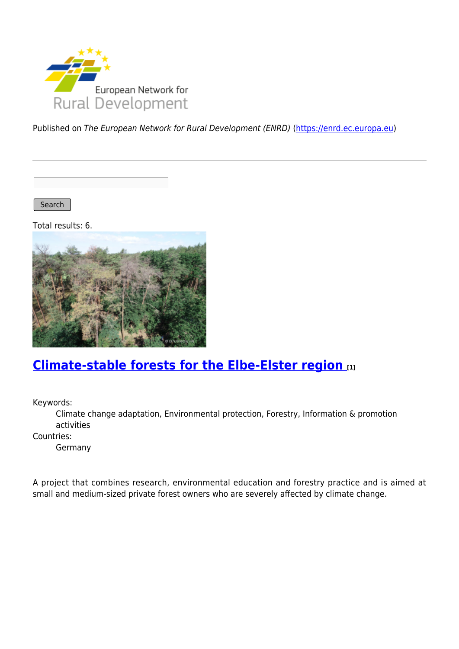

Published on The European Network for Rural Development (ENRD) [\(https://enrd.ec.europa.eu](https://enrd.ec.europa.eu))

Search |

Total results: 6.



### **[Climate-stable forests for the Elbe-Elster region](https://enrd.ec.europa.eu/projects-practice/climate-stable-forests-elbe-elster-region_en) [1]**

Keywords:

Climate change adaptation, Environmental protection, Forestry, Information & promotion activities

Countries:

Germany

A project that combines research, environmental education and forestry practice and is aimed at small and medium-sized private forest owners who are severely affected by climate change.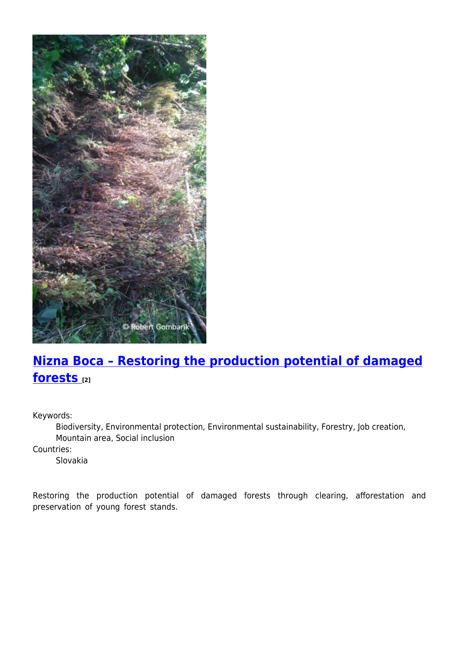

# **[Nizna Boca – Restoring the production potential of damaged](https://enrd.ec.europa.eu/projects-practice/nizna-boca-restoring-production-potential-damaged-forests_en) [forests](https://enrd.ec.europa.eu/projects-practice/nizna-boca-restoring-production-potential-damaged-forests_en) [2]**

Keywords:

Biodiversity, Environmental protection, Environmental sustainability, Forestry, Job creation, Mountain area, Social inclusion

Countries:

Slovakia

Restoring the production potential of damaged forests through clearing, afforestation and preservation of young forest stands.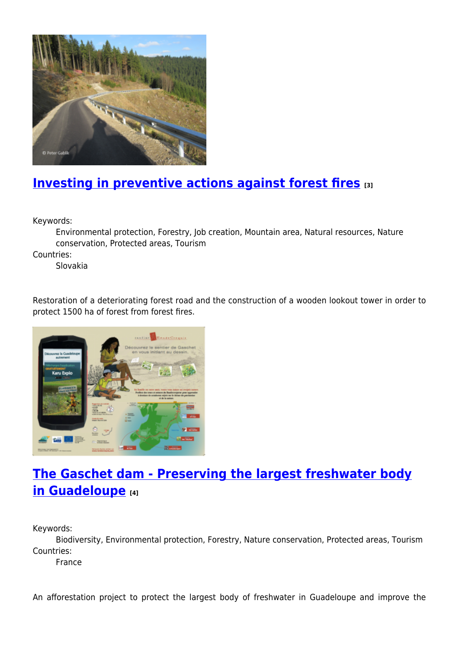

## **[Investing in preventive actions against forest fires](https://enrd.ec.europa.eu/projects-practice/investing-preventive-actions-against-forest-fires_en) [3]**

Keywords:

Environmental protection, Forestry, Job creation, Mountain area, Natural resources, Nature conservation, Protected areas, Tourism

Countries:

Slovakia

Restoration of a deteriorating forest road and the construction of a wooden lookout tower in order to protect 1500 ha of forest from forest fires.



## **[The Gaschet dam - Preserving the largest freshwater body](https://enrd.ec.europa.eu/projects-practice/gaschet-dam-preserving-largest-freshwater-body-guadeloupe_en) [in Guadeloupe](https://enrd.ec.europa.eu/projects-practice/gaschet-dam-preserving-largest-freshwater-body-guadeloupe_en) [4]**

Keywords:

Biodiversity, Environmental protection, Forestry, Nature conservation, Protected areas, Tourism Countries:

France

An afforestation project to protect the largest body of freshwater in Guadeloupe and improve the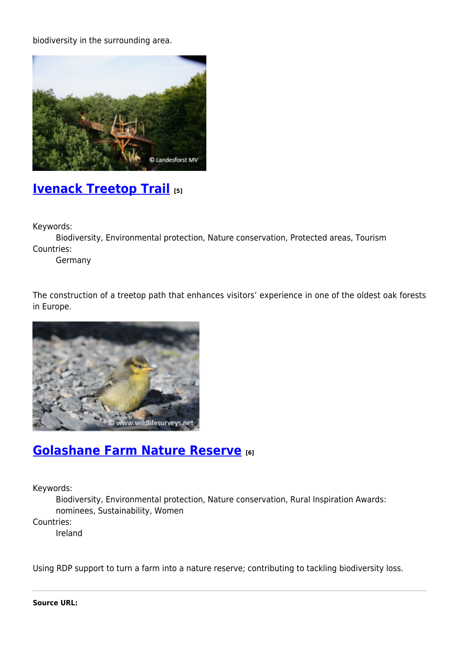biodiversity in the surrounding area.



#### **[Ivenack Treetop Trail](https://enrd.ec.europa.eu/projects-practice/ivenack-treetop-trail_en) [5]**

Keywords:

Biodiversity, Environmental protection, Nature conservation, Protected areas, Tourism Countries:

Germany

The construction of a treetop path that enhances visitors' experience in one of the oldest oak forests in Europe.



#### **[Golashane Farm Nature Reserve](https://enrd.ec.europa.eu/projects-practice/golashane-farm-nature-reserve_en) [6]**

Keywords:

Biodiversity, Environmental protection, Nature conservation, Rural Inspiration Awards: nominees, Sustainability, Women

Countries:

Ireland

Using RDP support to turn a farm into a nature reserve; contributing to tackling biodiversity loss.